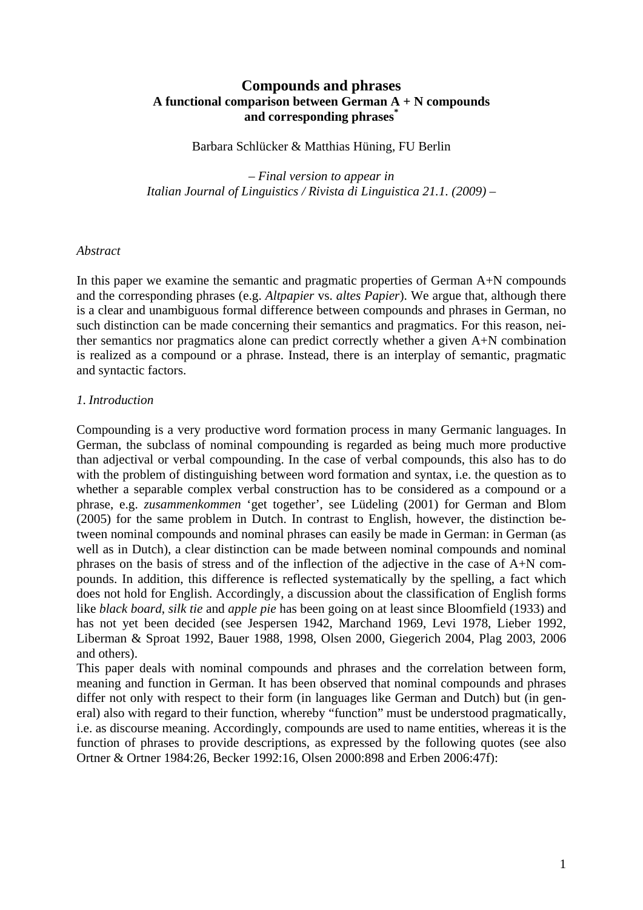# **Compounds and phrases A functional comparison between German A + N compounds and corresponding phrases\***

Barbara Schlücker & Matthias Hüning, FU Berlin

*– Final version to appear in Italian Journal of Linguistics / Rivista di Linguistica 21.1. (2009) –* 

#### *Abstract*

In this paper we examine the semantic and pragmatic properties of German A+N compounds and the corresponding phrases (e.g. *Altpapier* vs. *altes Papier*). We argue that, although there is a clear and unambiguous formal difference between compounds and phrases in German, no such distinction can be made concerning their semantics and pragmatics. For this reason, neither semantics nor pragmatics alone can predict correctly whether a given A+N combination is realized as a compound or a phrase. Instead, there is an interplay of semantic, pragmatic and syntactic factors.

### *1. Introduction*

Compounding is a very productive word formation process in many Germanic languages. In German, the subclass of nominal compounding is regarded as being much more productive than adjectival or verbal compounding. In the case of verbal compounds, this also has to do with the problem of distinguishing between word formation and syntax, i.e. the question as to whether a separable complex verbal construction has to be considered as a compound or a phrase, e.g. *zusammenkommen* 'get together', see Lüdeling (2001) for German and Blom (2005) for the same problem in Dutch. In contrast to English, however, the distinction between nominal compounds and nominal phrases can easily be made in German: in German (as well as in Dutch), a clear distinction can be made between nominal compounds and nominal phrases on the basis of stress and of the inflection of the adjective in the case of A+N compounds. In addition, this difference is reflected systematically by the spelling, a fact which does not hold for English. Accordingly, a discussion about the classification of English forms like *black board*, *silk tie* and *apple pie* has been going on at least since Bloomfield (1933) and has not yet been decided (see Jespersen 1942, Marchand 1969, Levi 1978, Lieber 1992, Liberman & Sproat 1992, Bauer 1988, 1998, Olsen 2000, Giegerich 2004, Plag 2003, 2006 and others).

This paper deals with nominal compounds and phrases and the correlation between form, meaning and function in German. It has been observed that nominal compounds and phrases differ not only with respect to their form (in languages like German and Dutch) but (in general) also with regard to their function, whereby "function" must be understood pragmatically, i.e. as discourse meaning. Accordingly, compounds are used to name entities, whereas it is the function of phrases to provide descriptions, as expressed by the following quotes (see also Ortner & Ortner 1984:26, Becker 1992:16, Olsen 2000:898 and Erben 2006:47f):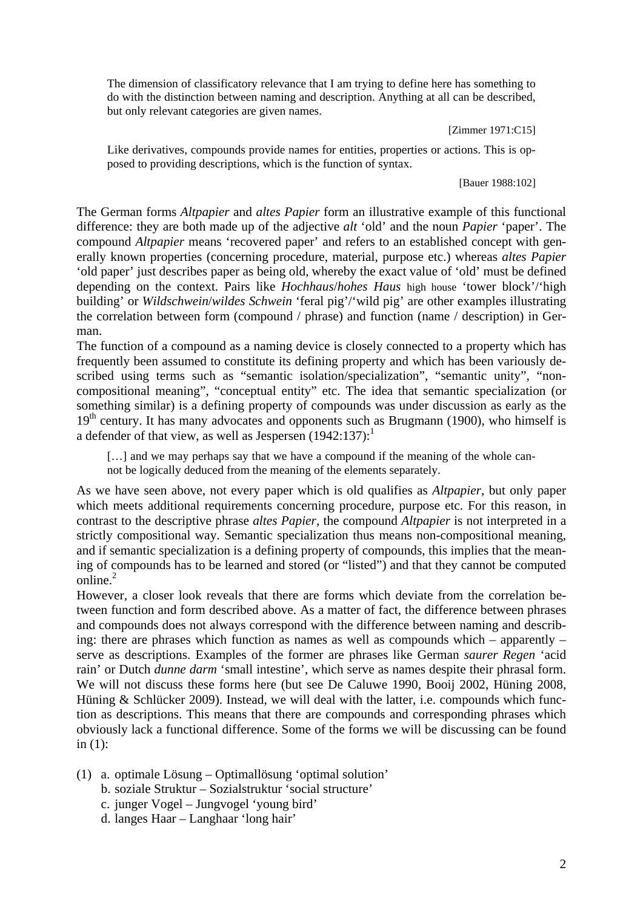The dimension of classificatory relevance that I am trying to define here has something to do with the distinction between naming and description. Anything at all can be described, but only relevant categories are given names.

[Zimmer 1971:C15]

Like derivatives, compounds provide names for entities, properties or actions. This is opposed to providing descriptions, which is the function of syntax.

[Bauer 1988:102]

The German forms *Altpapier* and *altes Papier* form an illustrative example of this functional difference: they are both made up of the adjective *alt* 'old' and the noun *Papier* 'paper'. The compound *Altpapier* means 'recovered paper' and refers to an established concept with generally known properties (concerning procedure, material, purpose etc.) whereas *altes Papier* 'old paper' just describes paper as being old, whereby the exact value of 'old' must be defined depending on the context. Pairs like *Hochhaus*/*hohes Haus* high house 'tower block'/'high building' or *Wildschwein*/*wildes Schwein* 'feral pig'/'wild pig' are other examples illustrating the correlation between form (compound / phrase) and function (name / description) in German.

The function of a compound as a naming device is closely connected to a property which has frequently been assumed to constitute its defining property and which has been variously described using terms such as "semantic isolation/specialization", "semantic unity", "noncompositional meaning", "conceptual entity" etc. The idea that semantic specialization (or something similar) is a defining property of compounds was under discussion as early as the  $19<sup>th</sup>$  century. It has many advocates and opponents such as Brugmann (1900), who himself is a defender of that view, as well as Jespersen  $(1942:137)$ :

[...] and we may perhaps say that we have a compound if the meaning of the whole cannot be logically deduced from the meaning of the elements separately.

As we have seen above, not every paper which is old qualifies as *Altpapier*, but only paper which meets additional requirements concerning procedure, purpose etc. For this reason, in contrast to the descriptive phrase *altes Papier*, the compound *Altpapier* is not interpreted in a strictly compositional way. Semantic specialization thus means non-compositional meaning, and if semantic specialization is a defining property of compounds, this implies that the meaning of compounds has to be learned and stored (or "listed") and that they cannot be computed online. $^{2}$ 

However, a closer look reveals that there are forms which deviate from the correlation between function and form described above. As a matter of fact, the difference between phrases and compounds does not always correspond with the difference between naming and describing: there are phrases which function as names as well as compounds which – apparently – serve as descriptions. Examples of the former are phrases like German *saurer Regen* 'acid rain' or Dutch *dunne darm* 'small intestine', which serve as names despite their phrasal form. We will not discuss these forms here (but see De Caluwe 1990, Booij 2002, Hüning 2008, Hüning & Schlücker 2009). Instead, we will deal with the latter, i.e. compounds which function as descriptions. This means that there are compounds and corresponding phrases which obviously lack a functional difference. Some of the forms we will be discussing can be found in (1):

- (1) a. optimale Lösung Optimallösung 'optimal solution'
	- b. soziale Struktur Sozialstruktur 'social structure'
	- c. junger Vogel Jungvogel 'young bird'
	- d. langes Haar Langhaar 'long hair'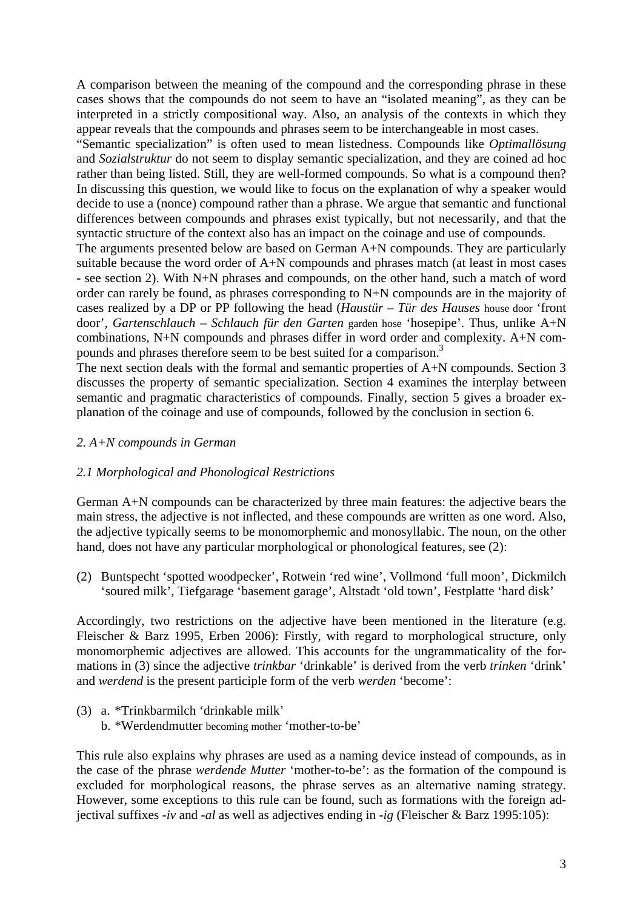A comparison between the meaning of the compound and the corresponding phrase in these cases shows that the compounds do not seem to have an "isolated meaning", as they can be interpreted in a strictly compositional way. Also, an analysis of the contexts in which they appear reveals that the compounds and phrases seem to be interchangeable in most cases.

"Semantic specialization" is often used to mean listedness. Compounds like *Optimallösung* and *Sozialstruktur* do not seem to display semantic specialization, and they are coined ad hoc rather than being listed. Still, they are well-formed compounds. So what is a compound then? In discussing this question, we would like to focus on the explanation of why a speaker would decide to use a (nonce) compound rather than a phrase. We argue that semantic and functional differences between compounds and phrases exist typically, but not necessarily, and that the syntactic structure of the context also has an impact on the coinage and use of compounds.

The arguments presented below are based on German A+N compounds. They are particularly suitable because the word order of A+N compounds and phrases match (at least in most cases - see section 2). With N+N phrases and compounds, on the other hand, such a match of word order can rarely be found, as phrases corresponding to N+N compounds are in the majority of cases realized by a DP or PP following the head (*Haustür* – *Tür des Hauses* house door 'front door', *Gartenschlauch* – *Schlauch für den Garten* garden hose 'hosepipe'. Thus, unlike A+N combinations, N+N compounds and phrases differ in word order and complexity. A+N compounds and phrases therefore seem to be best suited for a comparison.<sup>3</sup>

The next section deals with the formal and semantic properties of A+N compounds. Section 3 discusses the property of semantic specialization. Section 4 examines the interplay between semantic and pragmatic characteristics of compounds. Finally, section 5 gives a broader explanation of the coinage and use of compounds, followed by the conclusion in section 6.

### *2. A+N compounds in German*

### *2.1 Morphological and Phonological Restrictions*

German A+N compounds can be characterized by three main features: the adjective bears the main stress, the adjective is not inflected, and these compounds are written as one word. Also, the adjective typically seems to be monomorphemic and monosyllabic. The noun, on the other hand, does not have any particular morphological or phonological features, see (2):

(2) Buntspecht 'spotted woodpecker', Rotwein 'red wine', Vollmond 'full moon', Dickmilch 'soured milk', Tiefgarage 'basement garage', Altstadt 'old town', Festplatte 'hard disk'

Accordingly, two restrictions on the adjective have been mentioned in the literature (e.g. Fleischer & Barz 1995, Erben 2006): Firstly, with regard to morphological structure, only monomorphemic adjectives are allowed. This accounts for the ungrammaticality of the formations in (3) since the adjective *trinkbar* 'drinkable' is derived from the verb *trinken* 'drink' and *werdend* is the present participle form of the verb *werden* 'become':

- (3) a. \*Trinkbarmilch 'drinkable milk'
	- b. \*Werdendmutter becoming mother 'mother-to-be'

This rule also explains why phrases are used as a naming device instead of compounds, as in the case of the phrase *werdende Mutter* 'mother-to-be': as the formation of the compound is excluded for morphological reasons, the phrase serves as an alternative naming strategy. However, some exceptions to this rule can be found, such as formations with the foreign adjectival suffixes -*iv* and -*al* as well as adjectives ending in -*ig* (Fleischer & Barz 1995:105):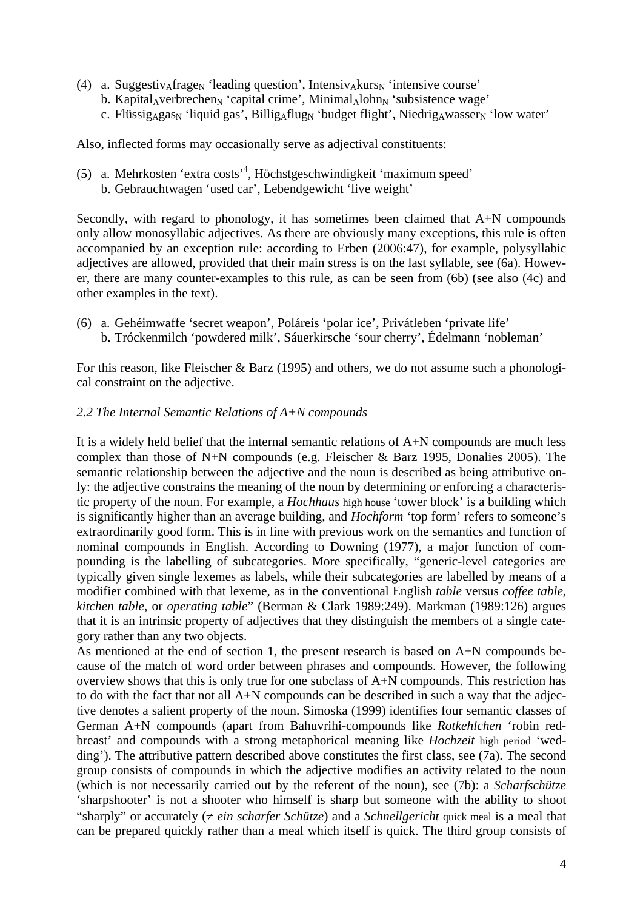- (4) a. Suggestiv<sub>A</sub>frage<sub>N</sub> 'leading question', Intensiv<sub>A</sub>kurs<sub>N</sub> 'intensive course'
	- b. Kapital<sub>A</sub>verbrechen<sub>N</sub> 'capital crime', Minimal<sub>Al</sub>ohn<sub>N</sub> 'subsistence wage'
	- c. Flüssig<sub>A</sub>gas<sub>N</sub> 'liquid gas', Billig<sub>A</sub>flug<sub>N</sub> 'budget flight', Niedrig<sub>A</sub>wasser<sub>N</sub> 'low water'

Also, inflected forms may occasionally serve as adjectival constituents:

(5) a. Mehrkosten 'extra costs'4 , Höchstgeschwindigkeit 'maximum speed' b. Gebrauchtwagen 'used car', Lebendgewicht 'live weight'

Secondly, with regard to phonology, it has sometimes been claimed that A+N compounds only allow monosyllabic adjectives. As there are obviously many exceptions, this rule is often accompanied by an exception rule: according to Erben (2006:47), for example, polysyllabic adjectives are allowed, provided that their main stress is on the last syllable, see (6a). However, there are many counter-examples to this rule, as can be seen from (6b) (see also (4c) and other examples in the text).

(6) a. Gehéimwaffe 'secret weapon', Poláreis 'polar ice', Privátleben 'private life' b. Tróckenmilch 'powdered milk', Sáuerkirsche 'sour cherry', Édelmann 'nobleman'

For this reason, like Fleischer & Barz (1995) and others, we do not assume such a phonological constraint on the adjective.

## *2.2 The Internal Semantic Relations of A+N compounds*

It is a widely held belief that the internal semantic relations of A+N compounds are much less complex than those of N+N compounds (e.g. Fleischer & Barz 1995, Donalies 2005). The semantic relationship between the adjective and the noun is described as being attributive only: the adjective constrains the meaning of the noun by determining or enforcing a characteristic property of the noun. For example, a *Hochhaus* high house 'tower block' is a building which is significantly higher than an average building, and *Hochform* 'top form' refers to someone's extraordinarily good form. This is in line with previous work on the semantics and function of nominal compounds in English. According to Downing (1977), a major function of compounding is the labelling of subcategories. More specifically, "generic-level categories are typically given single lexemes as labels, while their subcategories are labelled by means of a modifier combined with that lexeme, as in the conventional English *table* versus *coffee table*, *kitchen table*, or *operating table*" (Berman & Clark 1989:249). Markman (1989:126) argues that it is an intrinsic property of adjectives that they distinguish the members of a single category rather than any two objects.

As mentioned at the end of section 1, the present research is based on A+N compounds because of the match of word order between phrases and compounds. However, the following overview shows that this is only true for one subclass of A+N compounds. This restriction has to do with the fact that not all A+N compounds can be described in such a way that the adjective denotes a salient property of the noun. Simoska (1999) identifies four semantic classes of German A+N compounds (apart from Bahuvrihi-compounds like *Rotkehlchen* 'robin redbreast' and compounds with a strong metaphorical meaning like *Hochzeit* high period 'wedding'). The attributive pattern described above constitutes the first class, see (7a). The second group consists of compounds in which the adjective modifies an activity related to the noun (which is not necessarily carried out by the referent of the noun), see (7b): a *Scharfschütze* 'sharpshooter' is not a shooter who himself is sharp but someone with the ability to shoot "sharply" or accurately  $(\neq ein \, scharfer \, Schütze)$  and a *Schnellgericht* quick meal is a meal that can be prepared quickly rather than a meal which itself is quick. The third group consists of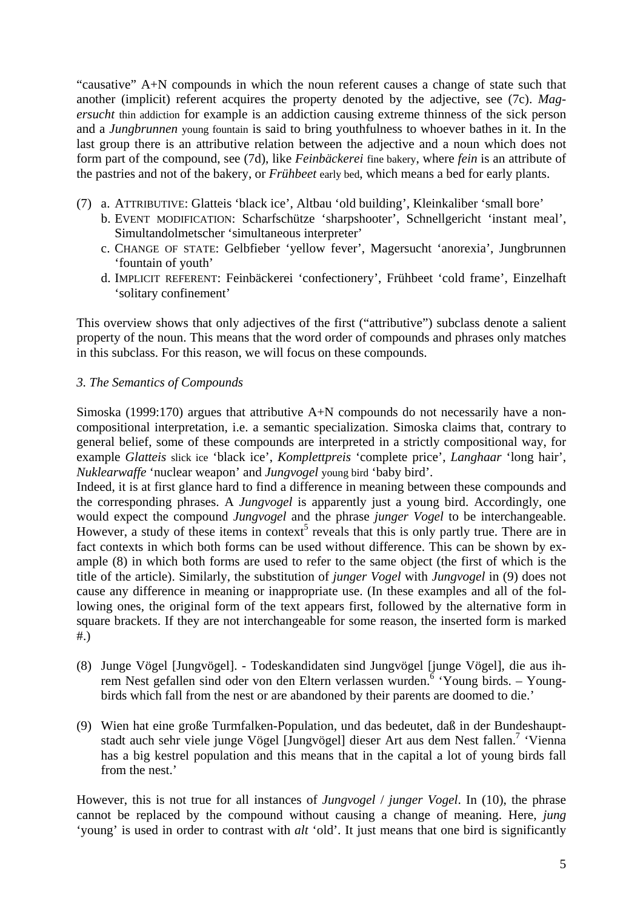"causative" A+N compounds in which the noun referent causes a change of state such that another (implicit) referent acquires the property denoted by the adjective, see (7c). *Magersucht* thin addiction for example is an addiction causing extreme thinness of the sick person and a *Jungbrunnen* young fountain is said to bring youthfulness to whoever bathes in it. In the last group there is an attributive relation between the adjective and a noun which does not form part of the compound, see (7d), like *Feinbäckerei* fine bakery, where *fein* is an attribute of the pastries and not of the bakery, or *Frühbeet* early bed, which means a bed for early plants.

- (7) a. ATTRIBUTIVE: Glatteis 'black ice', Altbau 'old building', Kleinkaliber 'small bore'
	- b. EVENT MODIFICATION: Scharfschütze 'sharpshooter', Schnellgericht 'instant meal', Simultandolmetscher 'simultaneous interpreter'
	- c. CHANGE OF STATE: Gelbfieber 'yellow fever', Magersucht 'anorexia', Jungbrunnen 'fountain of youth'
	- d. IMPLICIT REFERENT: Feinbäckerei 'confectionery', Frühbeet 'cold frame', Einzelhaft 'solitary confinement'

This overview shows that only adjectives of the first ("attributive") subclass denote a salient property of the noun. This means that the word order of compounds and phrases only matches in this subclass. For this reason, we will focus on these compounds.

## *3. The Semantics of Compounds*

Simoska (1999:170) argues that attributive A+N compounds do not necessarily have a noncompositional interpretation, i.e. a semantic specialization. Simoska claims that, contrary to general belief, some of these compounds are interpreted in a strictly compositional way, for example *Glatteis* slick ice 'black ice', *Komplettpreis* 'complete price', *Langhaar* 'long hair', *Nuklearwaffe* 'nuclear weapon' and *Jungvogel* young bird 'baby bird'.

Indeed, it is at first glance hard to find a difference in meaning between these compounds and the corresponding phrases. A *Jungvogel* is apparently just a young bird. Accordingly, one would expect the compound *Jungvogel* and the phrase *junger Vogel* to be interchangeable. However, a study of these items in context<sup>5</sup> reveals that this is only partly true. There are in fact contexts in which both forms can be used without difference. This can be shown by example (8) in which both forms are used to refer to the same object (the first of which is the title of the article). Similarly, the substitution of *junger Vogel* with *Jungvogel* in (9) does not cause any difference in meaning or inappropriate use. (In these examples and all of the following ones, the original form of the text appears first, followed by the alternative form in square brackets. If they are not interchangeable for some reason, the inserted form is marked #.)

- (8) Junge Vögel [Jungvögel]. Todeskandidaten sind Jungvögel [junge Vögel], die aus ihrem Nest gefallen sind oder von den Eltern verlassen wurden. <sup>6</sup> 'Young birds. – Youngbirds which fall from the nest or are abandoned by their parents are doomed to die.'
- (9) Wien hat eine große Turmfalken-Population, und das bedeutet, daß in der Bundeshauptstadt auch sehr viele junge Vögel [Jungvögel] dieser Art aus dem Nest fallen.<sup>7</sup> 'Vienna has a big kestrel population and this means that in the capital a lot of young birds fall from the nest.'

However, this is not true for all instances of *Jungvogel* / *junger Vogel*. In (10), the phrase cannot be replaced by the compound without causing a change of meaning. Here, *jung* 'young' is used in order to contrast with *alt* 'old'. It just means that one bird is significantly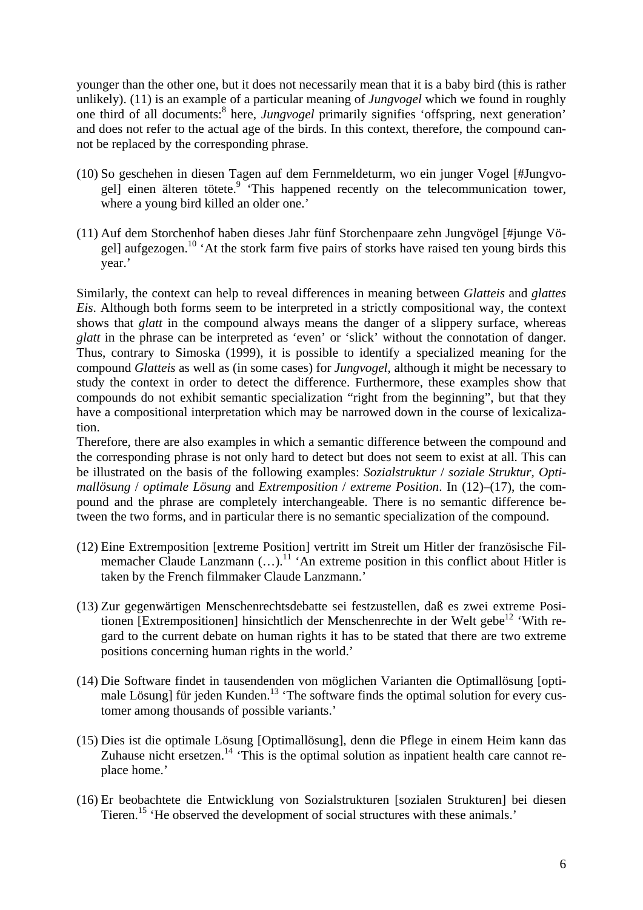younger than the other one, but it does not necessarily mean that it is a baby bird (this is rather unlikely). (11) is an example of a particular meaning of *Jungvogel* which we found in roughly one third of all documents:<sup>8</sup> here, *Jungvogel* primarily signifies 'offspring, next generation' and does not refer to the actual age of the birds. In this context, therefore, the compound cannot be replaced by the corresponding phrase.

- (10) So geschehen in diesen Tagen auf dem Fernmeldeturm, wo ein junger Vogel [#Jungvogel] einen älteren tötete.<sup>9</sup> 'This happened recently on the telecommunication tower, where a young bird killed an older one.'
- (11) Auf dem Storchenhof haben dieses Jahr fünf Storchenpaare zehn Jungvögel [#junge Vögel] aufgezogen.<sup>10</sup> 'At the stork farm five pairs of storks have raised ten young birds this year.'

Similarly, the context can help to reveal differences in meaning between *Glatteis* and *glattes Eis*. Although both forms seem to be interpreted in a strictly compositional way, the context shows that *glatt* in the compound always means the danger of a slippery surface, whereas *glatt* in the phrase can be interpreted as 'even' or 'slick' without the connotation of danger. Thus, contrary to Simoska (1999), it is possible to identify a specialized meaning for the compound *Glatteis* as well as (in some cases) for *Jungvogel*, although it might be necessary to study the context in order to detect the difference. Furthermore, these examples show that compounds do not exhibit semantic specialization "right from the beginning", but that they have a compositional interpretation which may be narrowed down in the course of lexicalization.

Therefore, there are also examples in which a semantic difference between the compound and the corresponding phrase is not only hard to detect but does not seem to exist at all. This can be illustrated on the basis of the following examples: *Sozialstruktur* / *soziale Struktur*, *Optimallösung* / *optimale Lösung* and *Extremposition* / *extreme Position*. In (12)–(17), the compound and the phrase are completely interchangeable. There is no semantic difference between the two forms, and in particular there is no semantic specialization of the compound.

- (12) Eine Extremposition [extreme Position] vertritt im Streit um Hitler der französische Filmemacher Claude Lanzmann  $(...)^{11}$  'An extreme position in this conflict about Hitler is taken by the French filmmaker Claude Lanzmann.'
- (13) Zur gegenwärtigen Menschenrechtsdebatte sei festzustellen, daß es zwei extreme Positionen [Extrempositionen] hinsichtlich der Menschenrechte in der Welt gebe<sup>12</sup> 'With regard to the current debate on human rights it has to be stated that there are two extreme positions concerning human rights in the world.'
- (14) Die Software findet in tausendenden von möglichen Varianten die Optimallösung [optimale Lösung] für jeden Kunden.<sup>13</sup> 'The software finds the optimal solution for every customer among thousands of possible variants.'
- (15) Dies ist die optimale Lösung [Optimallösung], denn die Pflege in einem Heim kann das Zuhause nicht ersetzen.<sup>14</sup> 'This is the optimal solution as inpatient health care cannot replace home.'
- (16) Er beobachtete die Entwicklung von Sozialstrukturen [sozialen Strukturen] bei diesen Tieren.<sup>15</sup> 'He observed the development of social structures with these animals.'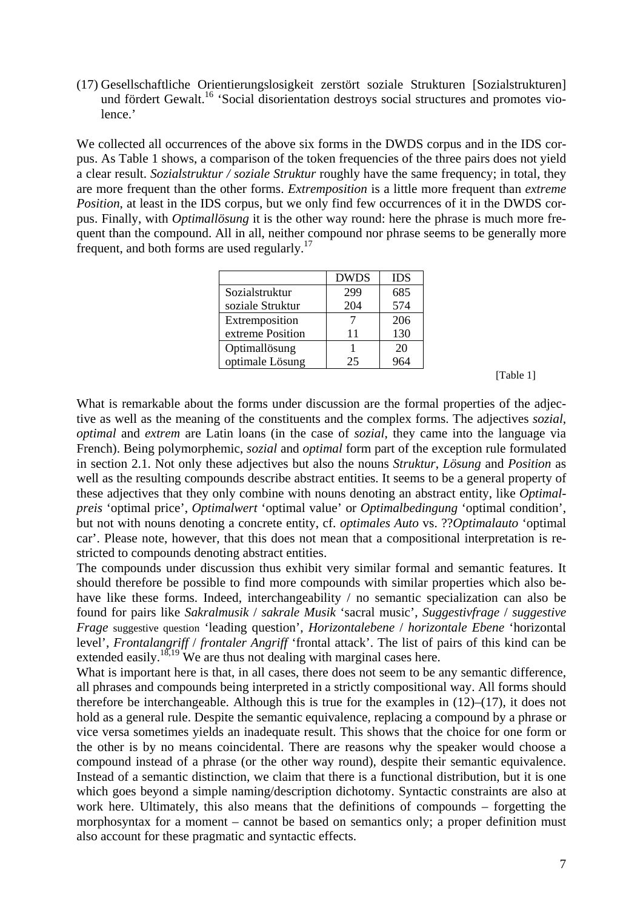(17) Gesellschaftliche Orientierungslosigkeit zerstört soziale Strukturen [Sozialstrukturen] und fördert Gewalt.<sup>16</sup> 'Social disorientation destroys social structures and promotes violence.'

We collected all occurrences of the above six forms in the DWDS corpus and in the IDS corpus. As Table 1 shows, a comparison of the token frequencies of the three pairs does not yield a clear result. *Sozialstruktur / soziale Struktur* roughly have the same frequency; in total, they are more frequent than the other forms. *Extremposition* is a little more frequent than *extreme Position*, at least in the IDS corpus, but we only find few occurrences of it in the DWDS corpus. Finally, with *Optimallösung* it is the other way round: here the phrase is much more frequent than the compound. All in all, neither compound nor phrase seems to be generally more frequent, and both forms are used regularly.17

|                  | <b>DWDS</b> | <b>IDS</b> |
|------------------|-------------|------------|
| Sozialstruktur   | 299         | 685        |
| soziale Struktur | 204         | 574        |
| Extremposition   |             | 206        |
| extreme Position | 11          | 130        |
| Optimallösung    |             | 20         |
| optimale Lösung  | 25          |            |

[Table 1]

What is remarkable about the forms under discussion are the formal properties of the adjective as well as the meaning of the constituents and the complex forms. The adjectives *sozial*, *optimal* and *extrem* are Latin loans (in the case of *sozial*, they came into the language via French). Being polymorphemic, *sozial* and *optimal* form part of the exception rule formulated in section 2.1. Not only these adjectives but also the nouns *Struktur*, *Lösung* and *Position* as well as the resulting compounds describe abstract entities. It seems to be a general property of these adjectives that they only combine with nouns denoting an abstract entity, like *Optimalpreis* 'optimal price', *Optimalwert* 'optimal value' or *Optimalbedingung* 'optimal condition', but not with nouns denoting a concrete entity, cf. *optimales Auto* vs. ??*Optimalauto* 'optimal car'. Please note, however, that this does not mean that a compositional interpretation is restricted to compounds denoting abstract entities.

The compounds under discussion thus exhibit very similar formal and semantic features. It should therefore be possible to find more compounds with similar properties which also behave like these forms. Indeed, interchangeability / no semantic specialization can also be found for pairs like *Sakralmusik* / *sakrale Musik* 'sacral music', *Suggestivfrage* / *suggestive Frage* suggestive question 'leading question', *Horizontalebene* / *horizontale Ebene* 'horizontal level', *Frontalangriff* / *frontaler Angriff* 'frontal attack'. The list of pairs of this kind can be extended easily.<sup>18,19</sup> We are thus not dealing with marginal cases here.

What is important here is that, in all cases, there does not seem to be any semantic difference, all phrases and compounds being interpreted in a strictly compositional way. All forms should therefore be interchangeable. Although this is true for the examples in  $(12)$ – $(17)$ , it does not hold as a general rule. Despite the semantic equivalence, replacing a compound by a phrase or vice versa sometimes yields an inadequate result. This shows that the choice for one form or the other is by no means coincidental. There are reasons why the speaker would choose a compound instead of a phrase (or the other way round), despite their semantic equivalence. Instead of a semantic distinction, we claim that there is a functional distribution, but it is one which goes beyond a simple naming/description dichotomy. Syntactic constraints are also at work here. Ultimately, this also means that the definitions of compounds – forgetting the morphosyntax for a moment – cannot be based on semantics only; a proper definition must also account for these pragmatic and syntactic effects.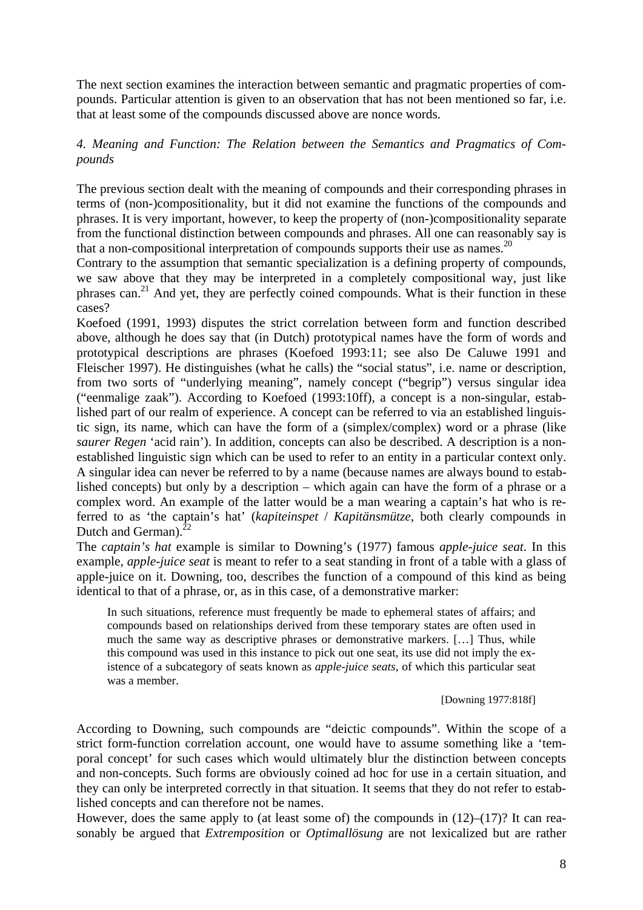The next section examines the interaction between semantic and pragmatic properties of compounds. Particular attention is given to an observation that has not been mentioned so far, i.e. that at least some of the compounds discussed above are nonce words.

## *4. Meaning and Function: The Relation between the Semantics and Pragmatics of Compounds*

The previous section dealt with the meaning of compounds and their corresponding phrases in terms of (non-)compositionality, but it did not examine the functions of the compounds and phrases. It is very important, however, to keep the property of (non-)compositionality separate from the functional distinction between compounds and phrases. All one can reasonably say is that a non-compositional interpretation of compounds supports their use as names.<sup>20</sup>

Contrary to the assumption that semantic specialization is a defining property of compounds, we saw above that they may be interpreted in a completely compositional way, just like phrases can.<sup>21</sup> And yet, they are perfectly coined compounds. What is their function in these cases?

Koefoed (1991, 1993) disputes the strict correlation between form and function described above, although he does say that (in Dutch) prototypical names have the form of words and prototypical descriptions are phrases (Koefoed 1993:11; see also De Caluwe 1991 and Fleischer 1997). He distinguishes (what he calls) the "social status", i.e. name or description, from two sorts of "underlying meaning", namely concept ("begrip") versus singular idea ("eenmalige zaak"). According to Koefoed (1993:10ff), a concept is a non-singular, established part of our realm of experience. A concept can be referred to via an established linguistic sign, its name, which can have the form of a (simplex/complex) word or a phrase (like *saurer Regen* 'acid rain'). In addition, concepts can also be described. A description is a nonestablished linguistic sign which can be used to refer to an entity in a particular context only. A singular idea can never be referred to by a name (because names are always bound to established concepts) but only by a description – which again can have the form of a phrase or a complex word. An example of the latter would be a man wearing a captain's hat who is referred to as 'the captain's hat' (*kapiteinspet* / *Kapitänsmütze*, both clearly compounds in Dutch and German). $^{22}$ 

The *captain's hat* example is similar to Downing's (1977) famous *apple-juice seat*. In this example, *apple-juice seat* is meant to refer to a seat standing in front of a table with a glass of apple-juice on it. Downing, too, describes the function of a compound of this kind as being identical to that of a phrase, or, as in this case, of a demonstrative marker:

In such situations, reference must frequently be made to ephemeral states of affairs; and compounds based on relationships derived from these temporary states are often used in much the same way as descriptive phrases or demonstrative markers. […] Thus, while this compound was used in this instance to pick out one seat, its use did not imply the existence of a subcategory of seats known as *apple-juice seats*, of which this particular seat was a member.

[Downing 1977:818f]

According to Downing, such compounds are "deictic compounds". Within the scope of a strict form-function correlation account, one would have to assume something like a 'temporal concept' for such cases which would ultimately blur the distinction between concepts and non-concepts. Such forms are obviously coined ad hoc for use in a certain situation, and they can only be interpreted correctly in that situation. It seems that they do not refer to established concepts and can therefore not be names.

However, does the same apply to (at least some of) the compounds in  $(12)$ – $(17)$ ? It can reasonably be argued that *Extremposition* or *Optimallösung* are not lexicalized but are rather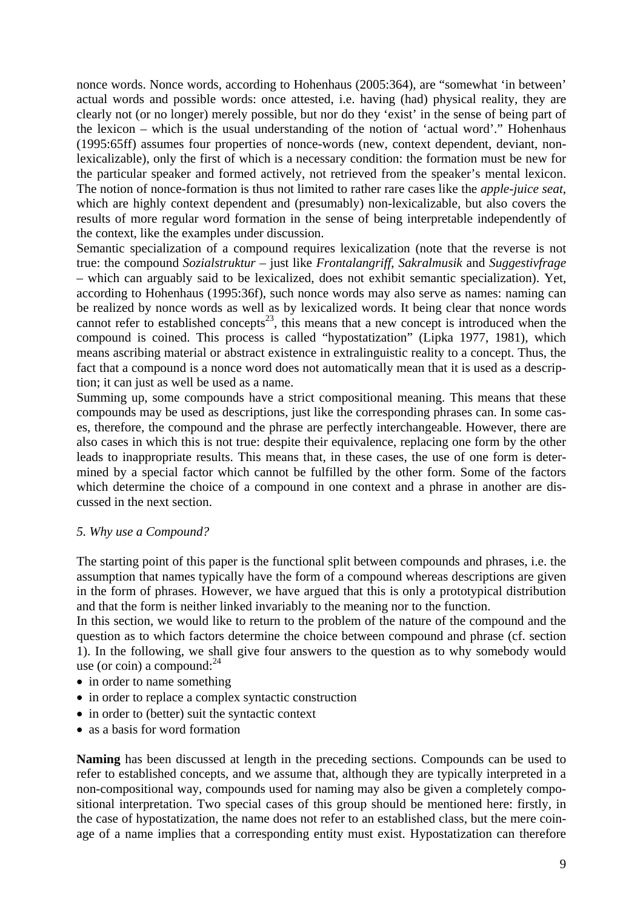nonce words. Nonce words, according to Hohenhaus (2005:364), are "somewhat 'in between' actual words and possible words: once attested, i.e. having (had) physical reality, they are clearly not (or no longer) merely possible, but nor do they 'exist' in the sense of being part of the lexicon – which is the usual understanding of the notion of 'actual word'." Hohenhaus (1995:65ff) assumes four properties of nonce-words (new, context dependent, deviant, nonlexicalizable), only the first of which is a necessary condition: the formation must be new for the particular speaker and formed actively, not retrieved from the speaker's mental lexicon. The notion of nonce-formation is thus not limited to rather rare cases like the *apple-juice seat*, which are highly context dependent and (presumably) non-lexicalizable, but also covers the results of more regular word formation in the sense of being interpretable independently of the context, like the examples under discussion.

Semantic specialization of a compound requires lexicalization (note that the reverse is not true: the compound *Sozialstruktur* – just like *Frontalangriff*, *Sakralmusik* and *Suggestivfrage* – which can arguably said to be lexicalized, does not exhibit semantic specialization). Yet, according to Hohenhaus (1995:36f), such nonce words may also serve as names: naming can be realized by nonce words as well as by lexicalized words. It being clear that nonce words cannot refer to established concepts<sup>23</sup>, this means that a new concept is introduced when the compound is coined. This process is called "hypostatization" (Lipka 1977, 1981), which means ascribing material or abstract existence in extralinguistic reality to a concept. Thus, the fact that a compound is a nonce word does not automatically mean that it is used as a description; it can just as well be used as a name.

Summing up, some compounds have a strict compositional meaning. This means that these compounds may be used as descriptions, just like the corresponding phrases can. In some cases, therefore, the compound and the phrase are perfectly interchangeable. However, there are also cases in which this is not true: despite their equivalence, replacing one form by the other leads to inappropriate results. This means that, in these cases, the use of one form is determined by a special factor which cannot be fulfilled by the other form. Some of the factors which determine the choice of a compound in one context and a phrase in another are discussed in the next section.

### *5. Why use a Compound?*

The starting point of this paper is the functional split between compounds and phrases, i.e. the assumption that names typically have the form of a compound whereas descriptions are given in the form of phrases. However, we have argued that this is only a prototypical distribution and that the form is neither linked invariably to the meaning nor to the function.

In this section, we would like to return to the problem of the nature of the compound and the question as to which factors determine the choice between compound and phrase (cf. section 1). In the following, we shall give four answers to the question as to why somebody would use (or coin) a compound: $^{24}$ 

- in order to name something
- in order to replace a complex syntactic construction
- in order to (better) suit the syntactic context
- as a basis for word formation

**Naming** has been discussed at length in the preceding sections. Compounds can be used to refer to established concepts, and we assume that, although they are typically interpreted in a non-compositional way, compounds used for naming may also be given a completely compositional interpretation. Two special cases of this group should be mentioned here: firstly, in the case of hypostatization, the name does not refer to an established class, but the mere coinage of a name implies that a corresponding entity must exist. Hypostatization can therefore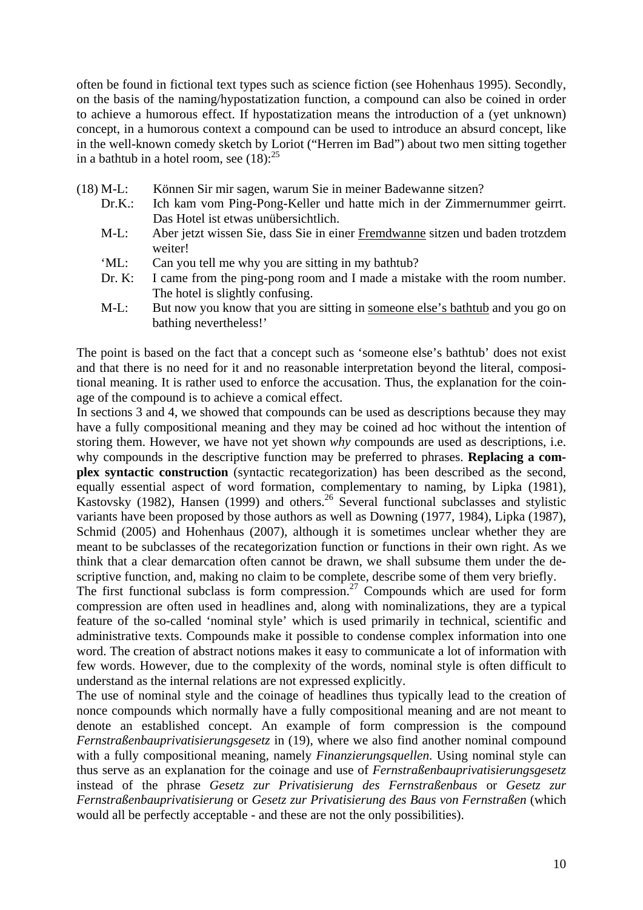often be found in fictional text types such as science fiction (see Hohenhaus 1995). Secondly, on the basis of the naming/hypostatization function, a compound can also be coined in order to achieve a humorous effect. If hypostatization means the introduction of a (yet unknown) concept, in a humorous context a compound can be used to introduce an absurd concept, like in the well-known comedy sketch by Loriot ("Herren im Bad") about two men sitting together in a bathtub in a hotel room, see  $(18)$ :<sup>25</sup>

- (18) M-L: Können Sir mir sagen, warum Sie in meiner Badewanne sitzen?
	- Dr.K.: Ich kam vom Ping-Pong-Keller und hatte mich in der Zimmernummer geirrt. Das Hotel ist etwas unübersichtlich.
	- M-L: Aber jetzt wissen Sie, dass Sie in einer Fremdwanne sitzen und baden trotzdem weiter!
	- 'ML: Can you tell me why you are sitting in my bathtub?
	- Dr. K: I came from the ping-pong room and I made a mistake with the room number. The hotel is slightly confusing.
	- M-L: But now you know that you are sitting in someone else's bathtub and you go on bathing nevertheless!'

The point is based on the fact that a concept such as 'someone else's bathtub' does not exist and that there is no need for it and no reasonable interpretation beyond the literal, compositional meaning. It is rather used to enforce the accusation. Thus, the explanation for the coinage of the compound is to achieve a comical effect.

In sections 3 and 4, we showed that compounds can be used as descriptions because they may have a fully compositional meaning and they may be coined ad hoc without the intention of storing them. However, we have not yet shown *why* compounds are used as descriptions, i.e. why compounds in the descriptive function may be preferred to phrases. **Replacing a complex syntactic construction** (syntactic recategorization) has been described as the second, equally essential aspect of word formation, complementary to naming, by Lipka (1981), Kastovsky (1982), Hansen (1999) and others.<sup>26</sup> Several functional subclasses and stylistic variants have been proposed by those authors as well as Downing (1977, 1984), Lipka (1987), Schmid (2005) and Hohenhaus (2007), although it is sometimes unclear whether they are meant to be subclasses of the recategorization function or functions in their own right. As we think that a clear demarcation often cannot be drawn, we shall subsume them under the descriptive function, and, making no claim to be complete, describe some of them very briefly.

The first functional subclass is form compression.<sup>27</sup> Compounds which are used for form compression are often used in headlines and, along with nominalizations, they are a typical feature of the so-called 'nominal style' which is used primarily in technical, scientific and administrative texts. Compounds make it possible to condense complex information into one word. The creation of abstract notions makes it easy to communicate a lot of information with few words. However, due to the complexity of the words, nominal style is often difficult to understand as the internal relations are not expressed explicitly.

The use of nominal style and the coinage of headlines thus typically lead to the creation of nonce compounds which normally have a fully compositional meaning and are not meant to denote an established concept. An example of form compression is the compound *Fernstraßenbauprivatisierungsgesetz* in (19), where we also find another nominal compound with a fully compositional meaning, namely *Finanzierungsquellen*. Using nominal style can thus serve as an explanation for the coinage and use of *Fernstraßenbauprivatisierungsgesetz* instead of the phrase *Gesetz zur Privatisierung des Fernstraßenbaus* or *Gesetz zur Fernstraßenbauprivatisierung* or *Gesetz zur Privatisierung des Baus von Fernstraßen* (which would all be perfectly acceptable - and these are not the only possibilities).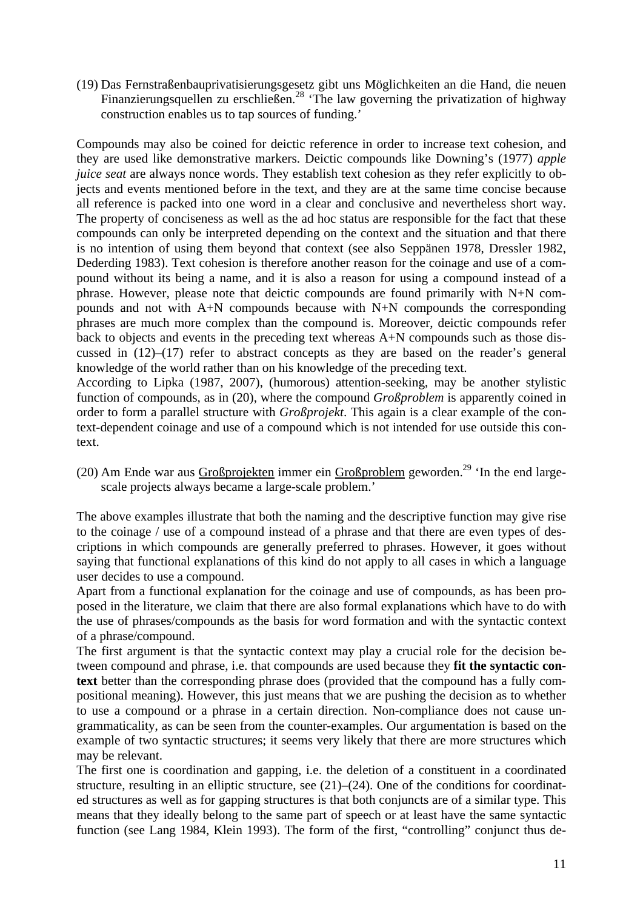(19) Das Fernstraßenbauprivatisierungsgesetz gibt uns Möglichkeiten an die Hand, die neuen Finanzierungsquellen zu erschließen.<sup>28</sup> 'The law governing the privatization of highway construction enables us to tap sources of funding.'

Compounds may also be coined for deictic reference in order to increase text cohesion, and they are used like demonstrative markers. Deictic compounds like Downing's (1977) *apple juice seat* are always nonce words. They establish text cohesion as they refer explicitly to objects and events mentioned before in the text, and they are at the same time concise because all reference is packed into one word in a clear and conclusive and nevertheless short way. The property of conciseness as well as the ad hoc status are responsible for the fact that these compounds can only be interpreted depending on the context and the situation and that there is no intention of using them beyond that context (see also Seppänen 1978, Dressler 1982, Dederding 1983). Text cohesion is therefore another reason for the coinage and use of a compound without its being a name, and it is also a reason for using a compound instead of a phrase. However, please note that deictic compounds are found primarily with N+N compounds and not with A+N compounds because with N+N compounds the corresponding phrases are much more complex than the compound is. Moreover, deictic compounds refer back to objects and events in the preceding text whereas A+N compounds such as those discussed in  $(12)$ – $(17)$  refer to abstract concepts as they are based on the reader's general knowledge of the world rather than on his knowledge of the preceding text.

According to Lipka (1987, 2007), (humorous) attention-seeking, may be another stylistic function of compounds, as in (20), where the compound *Großproblem* is apparently coined in order to form a parallel structure with *Großprojekt*. This again is a clear example of the context-dependent coinage and use of a compound which is not intended for use outside this context.

(20) Am Ende war aus Großprojekten immer ein Großproblem geworden.<sup>29</sup> 'In the end largescale projects always became a large-scale problem.'

The above examples illustrate that both the naming and the descriptive function may give rise to the coinage / use of a compound instead of a phrase and that there are even types of descriptions in which compounds are generally preferred to phrases. However, it goes without saying that functional explanations of this kind do not apply to all cases in which a language user decides to use a compound.

Apart from a functional explanation for the coinage and use of compounds, as has been proposed in the literature, we claim that there are also formal explanations which have to do with the use of phrases/compounds as the basis for word formation and with the syntactic context of a phrase/compound.

The first argument is that the syntactic context may play a crucial role for the decision between compound and phrase, i.e. that compounds are used because they **fit the syntactic context** better than the corresponding phrase does (provided that the compound has a fully compositional meaning). However, this just means that we are pushing the decision as to whether to use a compound or a phrase in a certain direction. Non-compliance does not cause ungrammaticality, as can be seen from the counter-examples. Our argumentation is based on the example of two syntactic structures; it seems very likely that there are more structures which may be relevant.

The first one is coordination and gapping, i.e. the deletion of a constituent in a coordinated structure, resulting in an elliptic structure, see (21)–(24). One of the conditions for coordinated structures as well as for gapping structures is that both conjuncts are of a similar type. This means that they ideally belong to the same part of speech or at least have the same syntactic function (see Lang 1984, Klein 1993). The form of the first, "controlling" conjunct thus de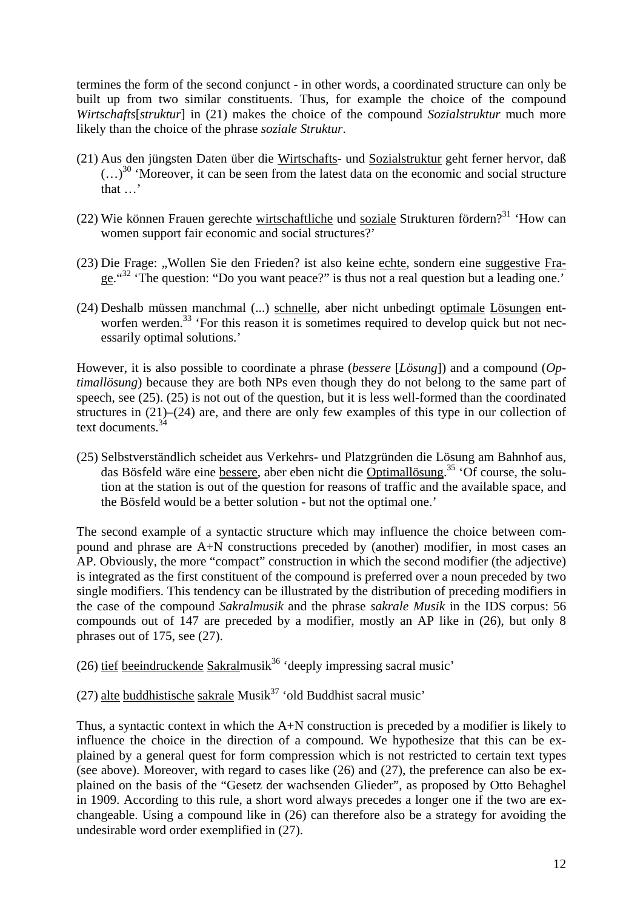termines the form of the second conjunct - in other words, a coordinated structure can only be built up from two similar constituents. Thus, for example the choice of the compound *Wirtschafts*[*struktur*] in (21) makes the choice of the compound *Sozialstruktur* much more likely than the choice of the phrase *soziale Struktur*.

- (21) Aus den jüngsten Daten über die Wirtschafts- und Sozialstruktur geht ferner hervor, daß  $(...)^{30}$  'Moreover, it can be seen from the latest data on the economic and social structure  $\overrightarrow{f}$  that  $\overrightarrow{f}$
- (22) Wie können Frauen gerechte wirtschaftliche und soziale Strukturen fördern?<sup>31</sup> 'How can women support fair economic and social structures?'
- (23) Die Frage: "Wollen Sie den Frieden? ist also keine echte, sondern eine suggestive Frage."32 'The question: "Do you want peace?" is thus not a real question but a leading one.'
- (24) Deshalb müssen manchmal (...) schnelle, aber nicht unbedingt optimale Lösungen entworfen werden.<sup>33</sup> 'For this reason it is sometimes required to develop quick but not necessarily optimal solutions.'

However, it is also possible to coordinate a phrase (*bessere* [*Lösung*]) and a compound (*Optimallösung*) because they are both NPs even though they do not belong to the same part of speech, see (25). (25) is not out of the question, but it is less well-formed than the coordinated structures in (21)–(24) are, and there are only few examples of this type in our collection of text documents. $34$ 

(25) Selbstverständlich scheidet aus Verkehrs- und Platzgründen die Lösung am Bahnhof aus, das Bösfeld wäre eine bessere, aber eben nicht die Optimallösung.<sup>35</sup> 'Of course, the solution at the station is out of the question for reasons of traffic and the available space, and the Bösfeld would be a better solution - but not the optimal one.'

The second example of a syntactic structure which may influence the choice between compound and phrase are A+N constructions preceded by (another) modifier, in most cases an AP. Obviously, the more "compact" construction in which the second modifier (the adjective) is integrated as the first constituent of the compound is preferred over a noun preceded by two single modifiers. This tendency can be illustrated by the distribution of preceding modifiers in the case of the compound *Sakralmusik* and the phrase *sakrale Musik* in the IDS corpus: 56 compounds out of 147 are preceded by a modifier, mostly an AP like in (26), but only 8 phrases out of 175, see (27).

(26) tief beeindruckende Sakralmusik<sup>36</sup> 'deeply impressing sacral music'

(27) alte buddhistische sakrale Musik<sup>37</sup> 'old Buddhist sacral music'

Thus, a syntactic context in which the A+N construction is preceded by a modifier is likely to influence the choice in the direction of a compound. We hypothesize that this can be explained by a general quest for form compression which is not restricted to certain text types (see above). Moreover, with regard to cases like (26) and (27), the preference can also be explained on the basis of the "Gesetz der wachsenden Glieder", as proposed by Otto Behaghel in 1909. According to this rule, a short word always precedes a longer one if the two are exchangeable. Using a compound like in (26) can therefore also be a strategy for avoiding the undesirable word order exemplified in (27).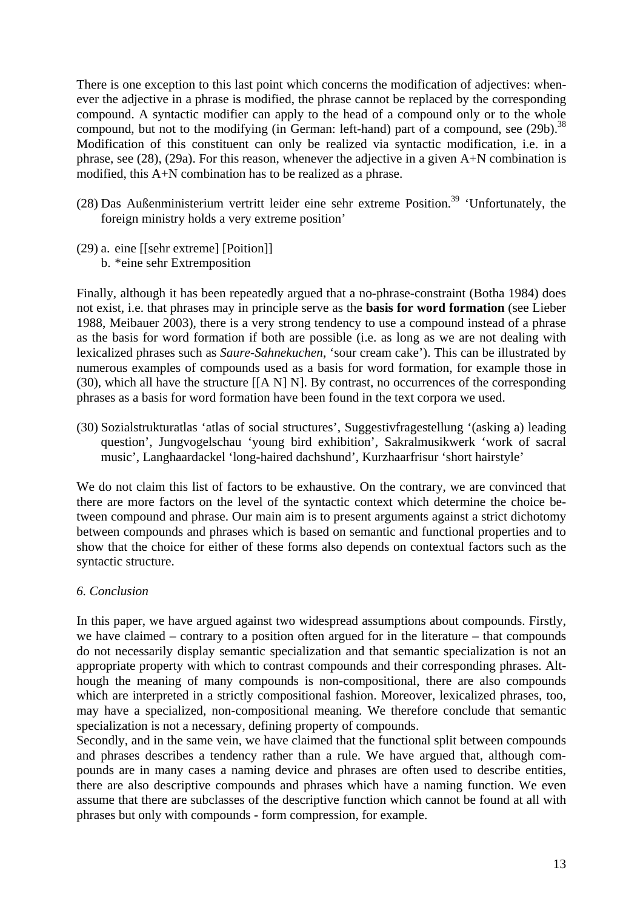There is one exception to this last point which concerns the modification of adjectives: whenever the adjective in a phrase is modified, the phrase cannot be replaced by the corresponding compound. A syntactic modifier can apply to the head of a compound only or to the whole compound, but not to the modifying (in German: left-hand) part of a compound, see  $(29b)$ .<sup>38</sup> Modification of this constituent can only be realized via syntactic modification, i.e. in a phrase, see (28), (29a). For this reason, whenever the adjective in a given A+N combination is modified, this A+N combination has to be realized as a phrase.

- (28) Das Außenministerium vertritt leider eine sehr extreme Position.<sup>39</sup> 'Unfortunately, the foreign ministry holds a very extreme position'
- (29) a. eine [[sehr extreme] [Poition]]

b. \*eine sehr Extremposition

Finally, although it has been repeatedly argued that a no-phrase-constraint (Botha 1984) does not exist, i.e. that phrases may in principle serve as the **basis for word formation** (see Lieber 1988, Meibauer 2003), there is a very strong tendency to use a compound instead of a phrase as the basis for word formation if both are possible (i.e. as long as we are not dealing with lexicalized phrases such as *Saure*-*Sahnekuchen*, 'sour cream cake'). This can be illustrated by numerous examples of compounds used as a basis for word formation, for example those in (30), which all have the structure [[A N] N]. By contrast, no occurrences of the corresponding phrases as a basis for word formation have been found in the text corpora we used.

(30) Sozialstrukturatlas 'atlas of social structures', Suggestivfragestellung '(asking a) leading question', Jungvogelschau 'young bird exhibition', Sakralmusikwerk 'work of sacral music', Langhaardackel 'long-haired dachshund', Kurzhaarfrisur 'short hairstyle'

We do not claim this list of factors to be exhaustive. On the contrary, we are convinced that there are more factors on the level of the syntactic context which determine the choice between compound and phrase. Our main aim is to present arguments against a strict dichotomy between compounds and phrases which is based on semantic and functional properties and to show that the choice for either of these forms also depends on contextual factors such as the syntactic structure.

# *6. Conclusion*

In this paper, we have argued against two widespread assumptions about compounds. Firstly, we have claimed – contrary to a position often argued for in the literature – that compounds do not necessarily display semantic specialization and that semantic specialization is not an appropriate property with which to contrast compounds and their corresponding phrases. Although the meaning of many compounds is non-compositional, there are also compounds which are interpreted in a strictly compositional fashion. Moreover, lexicalized phrases, too, may have a specialized, non-compositional meaning. We therefore conclude that semantic specialization is not a necessary, defining property of compounds.

Secondly, and in the same vein, we have claimed that the functional split between compounds and phrases describes a tendency rather than a rule. We have argued that, although compounds are in many cases a naming device and phrases are often used to describe entities, there are also descriptive compounds and phrases which have a naming function. We even assume that there are subclasses of the descriptive function which cannot be found at all with phrases but only with compounds - form compression, for example.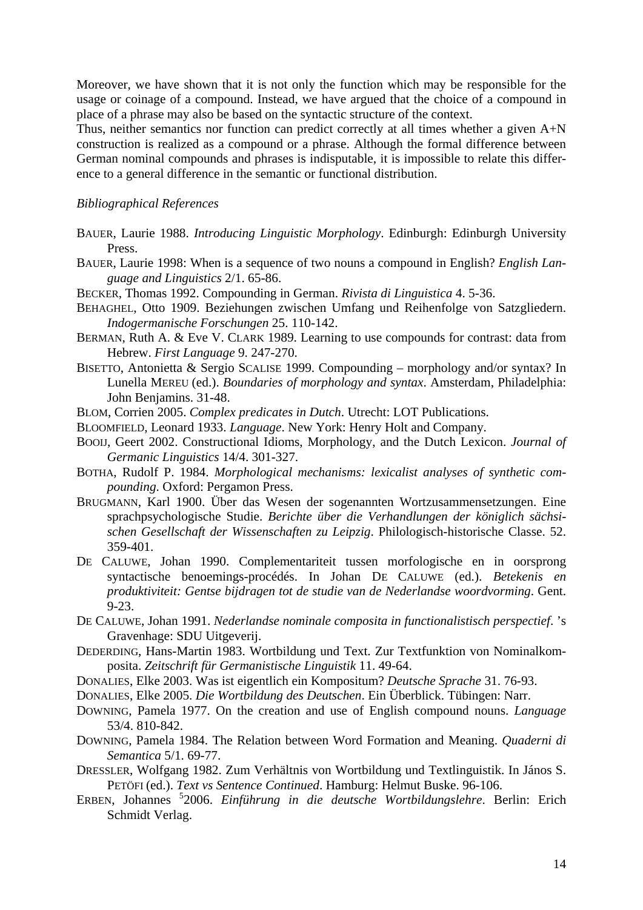Moreover, we have shown that it is not only the function which may be responsible for the usage or coinage of a compound. Instead, we have argued that the choice of a compound in place of a phrase may also be based on the syntactic structure of the context.

Thus, neither semantics nor function can predict correctly at all times whether a given A+N construction is realized as a compound or a phrase. Although the formal difference between German nominal compounds and phrases is indisputable, it is impossible to relate this difference to a general difference in the semantic or functional distribution.

## *Bibliographical References*

- BAUER, Laurie 1988. *Introducing Linguistic Morphology*. Edinburgh: Edinburgh University Press.
- BAUER, Laurie 1998: When is a sequence of two nouns a compound in English? *English Language and Linguistics* 2/1. 65-86.
- BECKER, Thomas 1992. Compounding in German. *Rivista di Linguistica* 4. 5-36.
- BEHAGHEL, Otto 1909. Beziehungen zwischen Umfang und Reihenfolge von Satzgliedern. *Indogermanische Forschungen* 25. 110-142.
- BERMAN, Ruth A. & Eve V. CLARK 1989. Learning to use compounds for contrast: data from Hebrew. *First Language* 9. 247-270.
- BISETTO, Antonietta & Sergio SCALISE 1999. Compounding morphology and/or syntax? In Lunella MEREU (ed.). *Boundaries of morphology and syntax*. Amsterdam, Philadelphia: John Benjamins. 31-48.
- BLOM, Corrien 2005. *Complex predicates in Dutch*. Utrecht: LOT Publications.
- BLOOMFIELD, Leonard 1933. *Language*. New York: Henry Holt and Company.
- BOOIJ, Geert 2002. Constructional Idioms, Morphology, and the Dutch Lexicon. *Journal of Germanic Linguistics* 14/4. 301-327.
- BOTHA, Rudolf P. 1984. *Morphological mechanisms: lexicalist analyses of synthetic compounding*. Oxford: Pergamon Press.
- BRUGMANN, Karl 1900. Über das Wesen der sogenannten Wortzusammensetzungen. Eine sprachpsychologische Studie. *Berichte über die Verhandlungen der königlich sächsischen Gesellschaft der Wissenschaften zu Leipzig*. Philologisch-historische Classe. 52. 359-401.
- DE CALUWE, Johan 1990. Complementariteit tussen morfologische en in oorsprong syntactische benoemings-procédés. In Johan DE CALUWE (ed.). *Betekenis en produktiviteit: Gentse bijdragen tot de studie van de Nederlandse woordvorming*. Gent. 9-23.
- DE CALUWE, Johan 1991. *Nederlandse nominale composita in functionalistisch perspectief*. 's Gravenhage: SDU Uitgeverij.
- DEDERDING, Hans-Martin 1983. Wortbildung und Text. Zur Textfunktion von Nominalkomposita. *Zeitschrift für Germanistische Linguistik* 11. 49-64.
- DONALIES, Elke 2003. Was ist eigentlich ein Kompositum? *Deutsche Sprache* 31. 76-93.
- DONALIES, Elke 2005. *Die Wortbildung des Deutschen*. Ein Überblick. Tübingen: Narr.
- DOWNING, Pamela 1977. On the creation and use of English compound nouns. *Language* 53/4. 810-842.
- DOWNING, Pamela 1984. The Relation between Word Formation and Meaning. *Quaderni di Semantica* 5/1. 69-77.
- DRESSLER, Wolfgang 1982. Zum Verhältnis von Wortbildung und Textlinguistik. In János S. PETÖFI (ed.). *Text vs Sentence Continued*. Hamburg: Helmut Buske. 96-106.
- ERBEN, Johannes <sup>5</sup> 2006. *Einführung in die deutsche Wortbildungslehre*. Berlin: Erich Schmidt Verlag.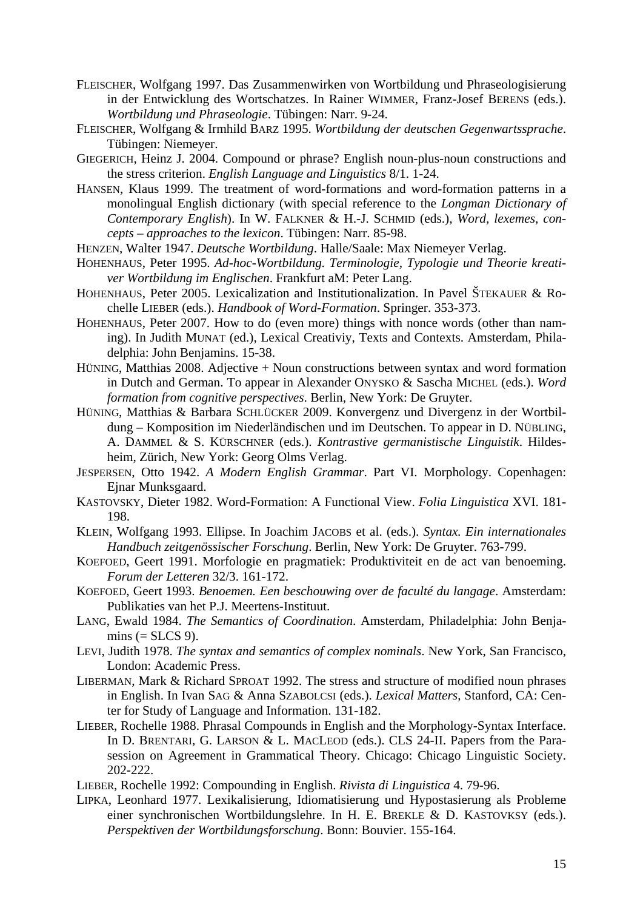- FLEISCHER, Wolfgang 1997. Das Zusammenwirken von Wortbildung und Phraseologisierung in der Entwicklung des Wortschatzes. In Rainer WIMMER, Franz-Josef BERENS (eds.). *Wortbildung und Phraseologie*. Tübingen: Narr. 9-24.
- FLEISCHER, Wolfgang & Irmhild BARZ 1995. *Wortbildung der deutschen Gegenwartssprache*. Tübingen: Niemeyer.
- GIEGERICH, Heinz J. 2004. Compound or phrase? English noun-plus-noun constructions and the stress criterion. *English Language and Linguistics* 8/1. 1-24.
- HANSEN, Klaus 1999. The treatment of word-formations and word-formation patterns in a monolingual English dictionary (with special reference to the *Longman Dictionary of Contemporary English*). In W. FALKNER & H.-J. SCHMID (eds.), *Word, lexemes, concepts – approaches to the lexicon*. Tübingen: Narr. 85-98.
- HENZEN, Walter 1947. *Deutsche Wortbildung*. Halle/Saale: Max Niemeyer Verlag.
- HOHENHAUS, Peter 1995. *Ad-hoc-Wortbildung. Terminologie, Typologie und Theorie kreativer Wortbildung im Englischen*. Frankfurt aM: Peter Lang.
- HOHENHAUS, Peter 2005. Lexicalization and Institutionalization. In Pavel ŠTEKAUER & Rochelle LIEBER (eds.). *Handbook of Word-Formation*. Springer. 353-373.
- HOHENHAUS, Peter 2007. How to do (even more) things with nonce words (other than naming). In Judith MUNAT (ed.), Lexical Creativiy, Texts and Contexts. Amsterdam, Philadelphia: John Benjamins. 15-38.
- HÜNING, Matthias 2008. Adjective + Noun constructions between syntax and word formation in Dutch and German. To appear in Alexander ONYSKO & Sascha MICHEL (eds.). *Word formation from cognitive perspectives*. Berlin, New York: De Gruyter.
- HÜNING, Matthias & Barbara SCHLÜCKER 2009. Konvergenz und Divergenz in der Wortbildung – Komposition im Niederländischen und im Deutschen. To appear in D. NÜBLING, A. DAMMEL & S. KÜRSCHNER (eds.). *Kontrastive germanistische Linguistik*. Hildesheim, Zürich, New York: Georg Olms Verlag.
- JESPERSEN, Otto 1942. *A Modern English Grammar*. Part VI. Morphology. Copenhagen: Ejnar Munksgaard.
- KASTOVSKY, Dieter 1982. Word-Formation: A Functional View. *Folia Linguistica* XVI. 181- 198.
- KLEIN, Wolfgang 1993. Ellipse. In Joachim JACOBS et al. (eds.). *Syntax. Ein internationales Handbuch zeitgenössischer Forschung*. Berlin, New York: De Gruyter. 763-799.
- KOEFOED, Geert 1991. Morfologie en pragmatiek: Produktiviteit en de act van benoeming. *Forum der Letteren* 32/3. 161-172.
- KOEFOED, Geert 1993. *Benoemen. Een beschouwing over de faculté du langage*. Amsterdam: Publikaties van het P.J. Meertens-Instituut.
- LANG, Ewald 1984. *The Semantics of Coordination*. Amsterdam, Philadelphia: John Benja $mins (= SLCS 9).$
- LEVI, Judith 1978. *The syntax and semantics of complex nominals*. New York, San Francisco, London: Academic Press.
- LIBERMAN, Mark & Richard SPROAT 1992. The stress and structure of modified noun phrases in English. In Ivan SAG & Anna SZABOLCSI (eds.). *Lexical Matters*, Stanford, CA: Center for Study of Language and Information. 131-182.
- LIEBER, Rochelle 1988. Phrasal Compounds in English and the Morphology-Syntax Interface. In D. BRENTARI, G. LARSON & L. MACLEOD (eds.). CLS 24-II. Papers from the Parasession on Agreement in Grammatical Theory. Chicago: Chicago Linguistic Society. 202-222.
- LIEBER, Rochelle 1992: Compounding in English. *Rivista di Linguistica* 4. 79-96.
- LIPKA, Leonhard 1977. Lexikalisierung, Idiomatisierung und Hypostasierung als Probleme einer synchronischen Wortbildungslehre. In H. E. BREKLE & D. KASTOVKSY (eds.). *Perspektiven der Wortbildungsforschung*. Bonn: Bouvier. 155-164.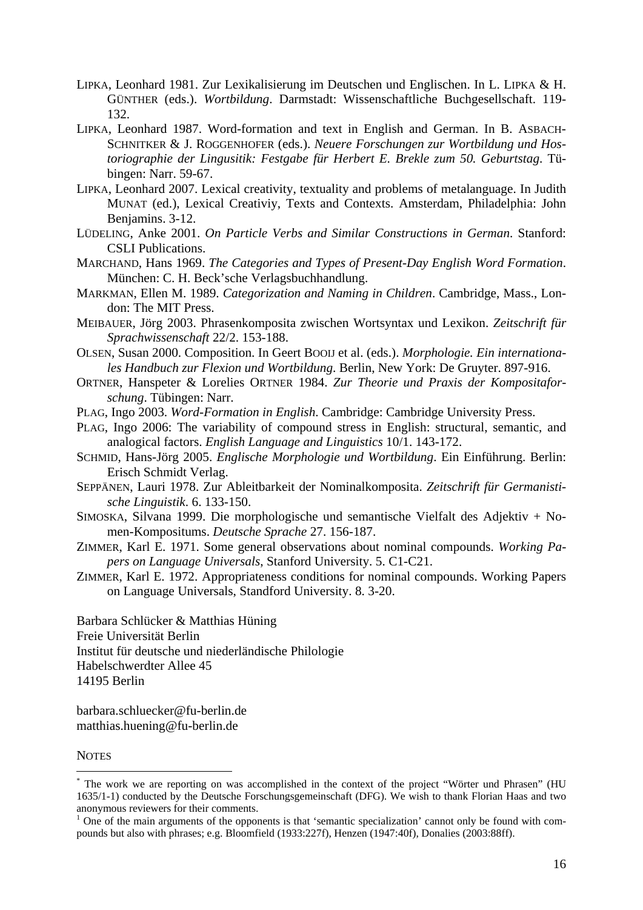- LIPKA, Leonhard 1981. Zur Lexikalisierung im Deutschen und Englischen. In L. LIPKA & H. GÜNTHER (eds.). *Wortbildung*. Darmstadt: Wissenschaftliche Buchgesellschaft. 119- 132.
- LIPKA, Leonhard 1987. Word-formation and text in English and German. In B. ASBACH-SCHNITKER & J. ROGGENHOFER (eds.). *Neuere Forschungen zur Wortbildung und Hostoriographie der Lingusitik: Festgabe für Herbert E. Brekle zum 50. Geburtstag*. Tübingen: Narr. 59-67.
- LIPKA, Leonhard 2007. Lexical creativity, textuality and problems of metalanguage. In Judith MUNAT (ed.), Lexical Creativiy, Texts and Contexts. Amsterdam, Philadelphia: John Benjamins. 3-12.
- LÜDELING, Anke 2001. *On Particle Verbs and Similar Constructions in German*. Stanford: CSLI Publications.
- MARCHAND, Hans 1969. *The Categories and Types of Present-Day English Word Formation*. München: C. H. Beck'sche Verlagsbuchhandlung.
- MARKMAN, Ellen M. 1989. *Categorization and Naming in Children*. Cambridge, Mass., London: The MIT Press.
- MEIBAUER, Jörg 2003. Phrasenkomposita zwischen Wortsyntax und Lexikon. *Zeitschrift für Sprachwissenschaft* 22/2. 153-188.
- OLSEN, Susan 2000. Composition. In Geert BOOIJ et al. (eds.). *Morphologie. Ein internationales Handbuch zur Flexion und Wortbildung*. Berlin, New York: De Gruyter. 897-916.
- ORTNER, Hanspeter & Lorelies ORTNER 1984. *Zur Theorie und Praxis der Kompositaforschung*. Tübingen: Narr.
- PLAG, Ingo 2003. *Word-Formation in English*. Cambridge: Cambridge University Press.
- PLAG, Ingo 2006: The variability of compound stress in English: structural, semantic, and analogical factors. *English Language and Linguistics* 10/1. 143-172.
- SCHMID, Hans-Jörg 2005. *Englische Morphologie und Wortbildung*. Ein Einführung. Berlin: Erisch Schmidt Verlag.
- SEPPÄNEN, Lauri 1978. Zur Ableitbarkeit der Nominalkomposita. *Zeitschrift für Germanistische Linguistik*. 6. 133-150.
- SIMOSKA, Silvana 1999. Die morphologische und semantische Vielfalt des Adjektiv + Nomen-Kompositums. *Deutsche Sprache* 27. 156-187.
- ZIMMER, Karl E. 1971. Some general observations about nominal compounds. *Working Papers on Language Universals*, Stanford University. 5. C1-C21.
- ZIMMER, Karl E. 1972. Appropriateness conditions for nominal compounds. Working Papers on Language Universals, Standford University. 8. 3-20.

Barbara Schlücker & Matthias Hüning Freie Universität Berlin Institut für deutsche und niederländische Philologie Habelschwerdter Allee 45 14195 Berlin

barbara.schluecker@fu-berlin.de matthias.huening@fu-berlin.de

**NOTES** 

<u>.</u>

<sup>\*</sup> The work we are reporting on was accomplished in the context of the project "Wörter und Phrasen" (HU 1635/1-1) conducted by the Deutsche Forschungsgemeinschaft (DFG). We wish to thank Florian Haas and two anonymous reviewers for their comments. 1

 $\frac{1}{1}$  One of the main arguments of the opponents is that 'semantic specialization' cannot only be found with compounds but also with phrases; e.g. Bloomfield (1933:227f), Henzen (1947:40f), Donalies (2003:88ff).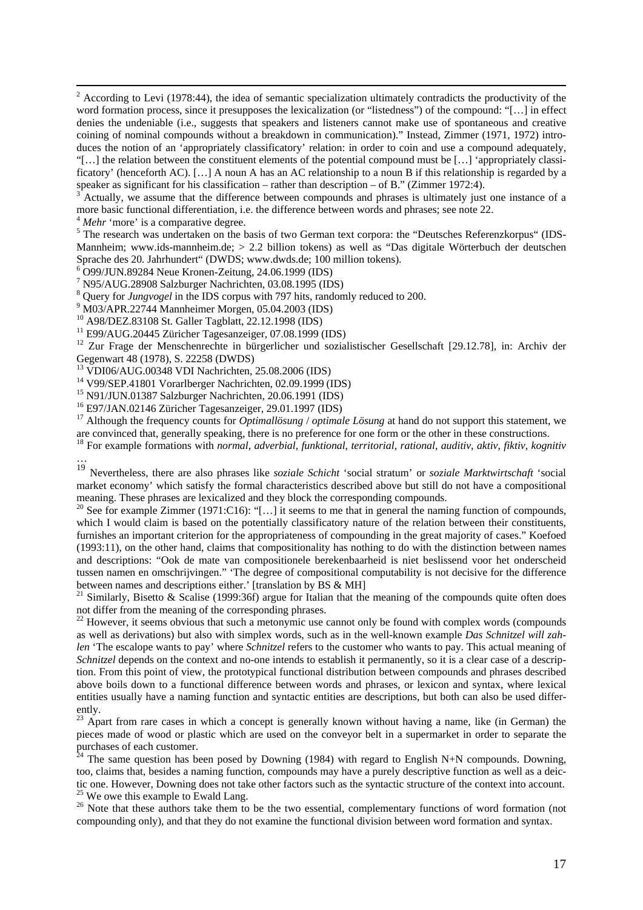$\frac{1}{2}$  $2$  According to Levi (1978:44), the idea of semantic specialization ultimately contradicts the productivity of the word formation process, since it presupposes the lexicalization (or "listedness") of the compound: "[…] in effect denies the undeniable (i.e., suggests that speakers and listeners cannot make use of spontaneous and creative coining of nominal compounds without a breakdown in communication)." Instead, Zimmer (1971, 1972) introduces the notion of an 'appropriately classificatory' relation: in order to coin and use a compound adequately, "[…] the relation between the constituent elements of the potential compound must be […] 'appropriately classificatory' (henceforth AC). […] A noun A has an AC relationship to a noun B if this relationship is regarded by a speaker as significant for his classification – rather than description – of B." (Zimmer 1972:4).

3 Actually, we assume that the difference between compounds and phrases is ultimately just one instance of a more basic functional differentiation, i.e. the difference between words and phrases; see note 22.

<sup>4</sup> *Mehr* 'more' is a comparative degree.

<sup>5</sup>The research was undertaken on the basis of two German text corpora: the "Deutsches Referenzkorpus" (IDS-Mannheim; www.ids-mannheim.de; > 2.2 billion tokens) as well as "Das digitale Wörterbuch der deutschen Sprache des 20. Jahrhundert" (DWDS; www.dwds.de; 100 million tokens).

6 O99/JUN.89284 Neue Kronen-Zeitung, 24.06.1999 (IDS)

7 N95/AUG.28908 Salzburger Nachrichten, 03.08.1995 (IDS)

<sup>8</sup> Query for *Jungvogel* in the IDS corpus with 797 hits, randomly reduced to 200.<br><sup>9</sup> M02/APP 22744 Manpheimar Margan, 05.04.2003 (IDS)

M03/APR.22744 Mannheimer Morgen, 05.04.2003 (IDS)

10 A98/DEZ.83108 St. Galler Tagblatt, 22.12.1998 (IDS)

<sup>11</sup> E99/AUG.20445 Züricher Tagesanzeiger, 07.08.1999 (IDS)

<sup>12</sup> Zur Frage der Menschenrechte in bürgerlicher und sozialistischer Gesellschaft [29.12.78], in: Archiv der Gegenwart 48 (1978), S. 22258 (DWDS)

13 VDI06/AUG.00348 VDI Nachrichten, 25.08.2006 (IDS)

<sup>14</sup> V99/SEP.41801 Vorarlberger Nachrichten, 02.09.1999 (IDS)<br><sup>15</sup> N91/JUN.01387 Salzburger Nachrichten, 20.06.1991 (IDS)

16 E97/JAN.02146 Züricher Tagesanzeiger, 29.01.1997 (IDS)

<sup>17</sup> Although the frequency counts for *Optimallösung* / *optimale Lösung* at hand do not support this statement, we are convinced that, generally speaking, there is no preference for one form or the other in these constr

<sup>18</sup> For example formations with *normal, adverbial, funktional, territorial, rational, auditiv, aktiv, fiktiv, kognitiv* …

<sup>19</sup> Nevertheless, there are also phrases like *soziale Schicht* 'social stratum' or *soziale Marktwirtschaft* 'social market economy' which satisfy the formal characteristics described above but still do not have a compositional meaning. These phrases are lexicalized and they block the corresponding compounds.<br><sup>20</sup> See for example Zimmer (1971:C16): "[...] it seems to me that in general the naming function of compounds,

which I would claim is based on the potentially classificatory nature of the relation between their constituents, furnishes an important criterion for the appropriateness of compounding in the great majority of cases." Koefoed (1993:11), on the other hand, claims that compositionality has nothing to do with the distinction between names and descriptions: "Ook de mate van compositionele berekenbaarheid is niet beslissend voor het onderscheid tussen namen en omschrijvingen." 'The degree of compositional computability is not decisive for the difference between names and descriptions either.' [translation by BS & MH]

<sup>21</sup> Similarly, Bisetto & Scalise (1999:36f) argue for Italian that the meaning of the compounds quite often does not differ from the meaning of the corresponding phrases.

 $22$  However, it seems obvious that such a metonymic use cannot only be found with complex words (compounds as well as derivations) but also with simplex words, such as in the well-known example *Das Schnitzel will zahlen* 'The escalope wants to pay' where *Schnitzel* refers to the customer who wants to pay. This actual meaning of *Schnitzel* depends on the context and no-one intends to establish it permanently, so it is a clear case of a description. From this point of view, the prototypical functional distribution between compounds and phrases described above boils down to a functional difference between words and phrases, or lexicon and syntax, where lexical entities usually have a naming function and syntactic entities are descriptions, but both can also be used differently.

<sup>23</sup> Apart from rare cases in which a concept is generally known without having a name, like (in German) the pieces made of wood or plastic which are used on the conveyor belt in a supermarket in order to separate the purchases of each customer.

 $24$  The same question has been posed by Downing (1984) with regard to English N+N compounds. Downing, too, claims that, besides a naming function, compounds may have a purely descriptive function as well as a deictic one. However, Downing does not take other factors such as the syntactic structure of the context into account.<br><sup>25</sup> We owe this example to Ewald Lang.

<sup>26</sup> Note that these authors take them to be the two essential, complementary functions of word formation (not compounding only), and that they do not examine the functional division between word formation and syntax.